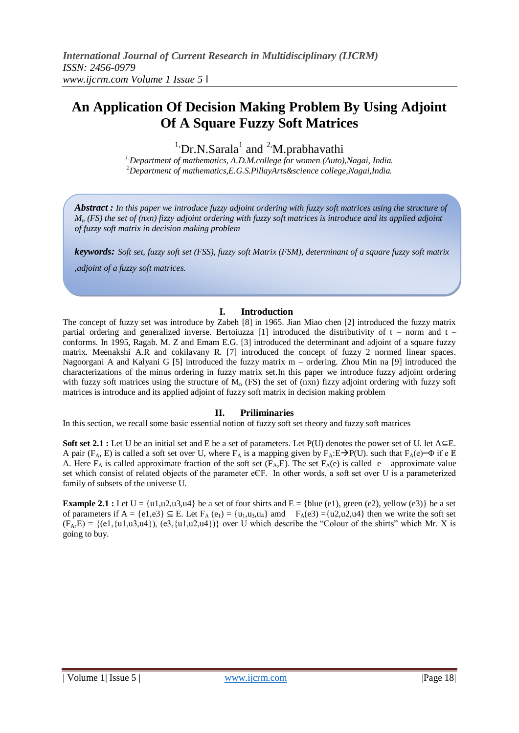# **An Application Of Decision Making Problem By Using Adjoint Of A Square Fuzzy Soft Matrices**

 $1$ <sup>1</sup>. Dr.N. Sarala<sup>1</sup> and <sup>2</sup>M. prabhavathi

*1,Department of mathematics, A.D.M.college for women (Auto),Nagai, India. <sup>2</sup>Department of mathematics,E.G.S.PillayArts&science college,Nagai,India.*

*Abstract : In this paper we introduce fuzzy adjoint ordering with fuzzy soft matrices using the structure of M<sup>n</sup> (FS) the set of (nxn) fizzy adjoint ordering with fuzzy soft matrices is introduce and its applied adjoint of fuzzy soft matrix in decision making problem*

*keywords: Soft set, fuzzy soft set (FSS), fuzzy soft Matrix (FSM), determinant of a square fuzzy soft matrix* 

*,adjoint of a fuzzy soft matrices.*

## **I. Introduction**

The concept of fuzzy set was introduce by Zabeh [8] in 1965. Jian Miao chen [2] introduced the fuzzy matrix partial ordering and generalized inverse. Bertoiuzza [1] introduced the distributivity of  $t - norm$  and  $t$ conforms. In 1995, Ragab. M. Z and Emam E.G. [3] introduced the determinant and adjoint of a square fuzzy matrix. Meenakshi A.R and cokilavany R. [7] introduced the concept of fuzzy 2 normed linear spaces. Nagoorgani A and Kalyani G [5] introduced the fuzzy matrix m – ordering. Zhou Min na [9] introduced the characterizations of the minus ordering in fuzzy matrix set.In this paper we introduce fuzzy adjoint ordering with fuzzy soft matrices using the structure of  $M_n$  (FS) the set of (nxn) fizzy adjoint ordering with fuzzy soft matrices is introduce and its applied adjoint of fuzzy soft matrix in decision making problem

## **II. Priliminaries**

In this section, we recall some basic essential notion of fuzzy soft set theory and fuzzy soft matrices

**Soft set 2.1 :** Let U be an initial set and E be a set of parameters. Let P(U) denotes the power set of U. let A⊆E. A pair ( $F_A$ , E) is called a soft set over U, where  $F_A$  is a mapping given by  $F_A: E \rightarrow P(U)$ . such that  $F_A(e) = \Phi$  if e  $E$ A. Here  $F_A$  is called approximate fraction of the soft set  $(F_A, E)$ . The set  $F_A(e)$  is called e – approximate value set which consist of related objects of the parameter eЄF. In other words, a soft set over U is a parameterized family of subsets of the universe U.

**Example 2.1 :** Let  $U = \{u1, u2, u3, u4\}$  be a set of four shirts and  $E = \{blue (e1), green (e2), yellow (e3)\}$  be a set of parameters if  $A = \{e1, e3\} \subseteq E$ . Let  $F_A(e_1) = \{u_1, u_3, u_4\}$  amd  $F_A(e_3) = \{u_2, u_4\}$  then we write the soft set  $(F_A, E) = \{(e1, \{u1, u3, u4\}), (e3, \{u1, u2, u4\})\}$  over U which describe the "Colour of the shirts" which Mr. X is going to buy.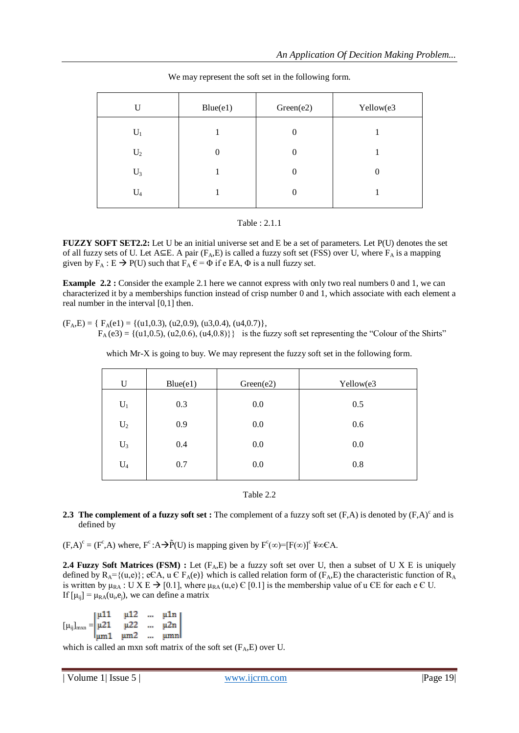| U     | Blue(e1) | Green(e2)      | Yellow(e3 |
|-------|----------|----------------|-----------|
| $U_1$ |          | $\Omega$       |           |
| $U_2$ |          | 0              |           |
| $U_3$ |          | $\overline{0}$ | $\theta$  |
| $U_4$ |          | $\theta$       |           |

We may represent the soft set in the following form.

### Table : 2.1.1

**FUZZY SOFT SET2.2:** Let U be an initial universe set and E be a set of parameters. Let P(U) denotes the set of all fuzzy sets of U. Let A⊆E. A pair ( $F_A$ ,E) is called a fuzzy soft set (FSS) over U, where  $F_A$  is a mapping given by  $F_A : E \to P(U)$  such that  $F_A \varepsilon = \Phi$  if e EA,  $\Phi$  is a null fuzzy set.

**Example 2.2 <b>:** Consider the example 2.1 here we cannot express with only two real numbers 0 and 1, we can characterized it by a memberships function instead of crisp number 0 and 1, which associate with each element a real number in the interval [0,1] then.

 $(F_A, E) = \{ F_A(e1) = \{(u1, 0.3), (u2, 0.9), (u3, 0.4), (u4, 0.7) \},\}$  $F_A$  (e3) = {(u1,0.5), (u2,0.6), (u4,0.8)}} is the fuzzy soft set representing the "Colour of the Shirts"

which Mr-X is going to buy. We may represent the fuzzy soft set in the following form.

| U              | Blue(e1) | Green(e2) | Yellow(e3 |
|----------------|----------|-----------|-----------|
| $\mathbf{U}_1$ | 0.3      | 0.0       | 0.5       |
| $U_2$          | 0.9      | 0.0       | 0.6       |
| $U_3$          | 0.4      | 0.0       | 0.0       |
| $U_4$          | 0.7      | 0.0       | 0.8       |
|                |          |           |           |

Table 2.2

### **2.3** The complement of a fuzzy soft set: The complement of a fuzzy soft set  $(F,A)$  is denoted by  $(F,A)^c$  and is defined by

 $(F,A)^c = (F^c,A)$  where,  $F^c:A \rightarrow \tilde{P}(U)$  is mapping given by  $F^c(\infty) = [F(\infty)]^c \Psi \infty CA$ .

**2.4 Fuzzy Soft Matrices (FSM) :** Let  $(F_A, E)$  be a fuzzy soft set over U, then a subset of U X E is uniquely defined by  $R_A = \{(u,e)\}\;$ ; eCA, u C  $F_A(e)$ } which is called relation form of  $(F_A, E)$  the characteristic function of  $R_A$ is written by  $\mu_{RA} : U X E \rightarrow [0.1]$ , where  $\mu_{RA}(u,e) \in [0.1]$  is the membership value of u  $E E$  for each e  $E U$ . If  $[\mu_{ij}] = \mu_{RA}(u_i, e_j)$ , we can define a matrix

 $[\mu_{ij}]_{maxn} = \begin{vmatrix} \mu 11 & \mu 12 & \dots & \mu 1n \\ \mu 21 & \mu 22 & \dots & \mu 2n \\ \mu m 1 & \mu m 2 & \dots & \mu m n \end{vmatrix}$ 

which is called an mxn soft matrix of the soft set  $(F_A, E)$  over U.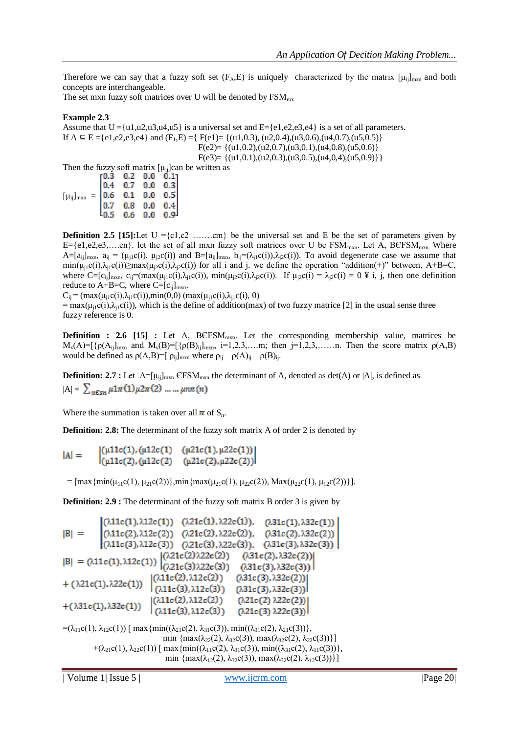Therefore we can say that a fuzzy soft set  $(F_A, E)$  is uniquely characterized by the matrix  $[\mu_{ij}]_{m \times n}$  and both concepts are interchangeable.

The set mxn fuzzy soft matrices over U will be denoted by  $\text{FSM}_{\text{mx}}$ .

## **Example 2.3**

Assume that  $U = \{u1, u2, u3, u4, u5\}$  is a universal set and  $E = \{e1, e2, e3, e4\}$  is a set of all parameters. If  $A \subseteq E = \{e1, e2, e3, e4\}$  and  $(F_1, E) = \{F(e1) = \{(u1, 0.3), (u2, 0.4), (u3, 0.6), (u4, 0.7), (u5, 0.5)\}$  $F(e2) = \{(u1, 0.2), (u2, 0.7), (u3, 0.1), (u4, 0.8), (u5, 0.6)\}$  $F(e3) = \{(u1, 0.1), (u2, 0.3), (u3, 0.5), (u4, 0.4), (u5, 0.9)\}\}$ Then the fuzzy soft matrix  $[\mu_{ij}]$ can be written as

| $\begin{bmatrix} \mu_{ij} \end{bmatrix}_{\text{mxn}} = \begin{bmatrix} 0.3 & 0.2 & 0.0 & 0.1 \\ 0.4 & 0.7 & 0.0 & 0.3 \\ 0.6 & 0.1 & 0.0 & 0.5 \end{bmatrix}$ |  |                                                       |  |
|---------------------------------------------------------------------------------------------------------------------------------------------------------------|--|-------------------------------------------------------|--|
|                                                                                                                                                               |  |                                                       |  |
|                                                                                                                                                               |  | $\begin{bmatrix} 0.7 & 0.8 & 0.0 & 0.4 \end{bmatrix}$ |  |
|                                                                                                                                                               |  | لو.0 0.0 0.6 0.9                                      |  |

**Definition 2.5** [15]:Let  $U = \{c1, c2 \dots, cm\}$  be the universal set and E be the set of parameters given by E={e1,e2,e3,....en}. let the set of all mxn fuzzy soft matrices over U be  $FSM_{\text{max}}$ . Let A, BEFSM<sub>mxn</sub>. Where  $A=[a_{ij}]_{mxn}$ ,  $a_{ij}=(\mu_{i1}c(i), \mu_{i2}c(i))$  and  $B=[a_{ij}]_{mxn}$ ,  $b_{ij}=(\lambda_{i1}c(i)),\lambda_{i2}c(i))$ . To avoid degenerate case we assume that  $\min(\mu_{i1}c(i),\lambda_{i1}c(i))\geq \max(\mu_{i2}c(i),\lambda_{i2}c(i))$  for all i and j. we define the operation "addition(+)" between, A+B=C, where  $C=[c_{ij}]_{mxn}$ ,  $c_{ij}=(max(\mu_{i1}c(i),\lambda_{i1}c(i))$ ,  $min(\mu_{i2}c(i),\lambda_{i2}c(i))$ . If  $\mu_{i2}c(i) = \lambda_{i2}c(i) = 0 \nsubseteq i$ , j, then one definition reduce to  $A+B=C$ , where  $C=[c_{ij}]_{mxn}$ .

 $C_{ii} = (max(\mu_{i1}c(i),\lambda_{i1}c(i)),min(0,0) (max(\mu_{i1}c(i),\lambda_{i1}c(i), 0))$ 

 $=$  max( $\mu_{i1}c(i)$ , $\lambda_{i1}c(i)$ ), which is the define of addition(max) of two fuzzy matrice [2] in the usual sense three fuzzy reference is 0.

**Definition : 2.6 [15] :** Let A, BCFSM<sub>mxn</sub>. Let the corresponding membership value, matrices be  $M_v(A) = [\{\rho(A_{ij}]_{mxn} \text{ and } M_v(B) = [\{\rho(B)_{ij}]_{mxn}, i=1,2,3,...,m; \text{ then } j=1,2,3,...,n. \text{ Then the score matrix } \rho(A,B)\}$ would be defined as  $\rho(A,B)$ =[  $\rho_{ij}$ ]<sub>mxn</sub> where  $\rho_{ij} - \rho(A)_{ij} - \rho(B)_{ij}$ .

**Definition: 2.7 :** Let  $A = [\mu_{ij}]_{m \times n}$  CFSM<sub>m $x \times n$ </sub> the determinant of A, denoted as det(A) or |A|, is defined as  $|A| = \sum_{\pi \in \mathsf{S}n} \mu \mathsf{1} \pi(1) \mu \mathsf{2} \pi(2) \dots \dots \mu n \pi(n)$ 

Where the summation is taken over all  $\pi$  of  $S_n$ .

**Definition: 2.8:** The determinant of the fuzzy soft matrix A of order 2 is denoted by

 $\begin{array}{lll} \left((\mu 11c(1),(\mu 12c(1)-(\mu 21c(1),\mu 22c(1))\right)\\ (\mu 11c(2),(\mu 12c(2)-(\mu 21c(2),\mu 22c(2)))\right. \end{array}$  $|A| =$ 

=  $[\max{\min(\mu_{11}c(1), \mu_{21}c(2))}, \min{\max(\mu_{21}c(1), \mu_{22}c(2))}, \max(\mu_{22}c(1), \mu_{12}c(2))\}].$ 

**Definition: 2.9 :** The determinant of the fuzzy soft matrix B order 3 is given by

$$
|B| = \begin{vmatrix} (\lambda 11c(1), \lambda 12c(1)) & (\lambda 21c(1), \lambda 22c(1)), & (\lambda 31c(1), \lambda 32c(1)) \\ (\lambda 11c(2), \lambda 12c(2)) & (\lambda 21c(2), \lambda 22c(2)), & (\lambda 31c(2), \lambda 32c(2)) \\ (\lambda 11c(3), \lambda 12c(3)) & (\lambda 21c(3), \lambda 22c(3)), & (\lambda 31c(3), \lambda 32c(3)) \end{vmatrix}
$$
  
\n
$$
|B| = (\lambda 11c(1), \lambda 12c(1)) \begin{vmatrix} (\lambda 21c(2) \lambda 22c(2)) & (\lambda 31c(2), \lambda 32c(2)) \\ (\lambda 21c(3) \lambda 22c(3)) & (\lambda 31c(3), \lambda 32c(3)) \end{vmatrix}
$$
  
\n+ (\lambda 21c(1), \lambda 22c(1)) \begin{vmatrix} (\lambda 11c(2), \lambda 12c(2)) & (\lambda 31c(3), \lambda 32c(2)) \\ (\lambda 11c(3), \lambda 12c(3)) & (\lambda 31c(3), \lambda 32c(3)) \end{vmatrix}  
\n+ (\lambda 31c(1), \lambda 32c(1)) \begin{vmatrix} (\lambda 11c(2), \lambda 12c(2)) & (\lambda 21c(2) \lambda 22c(2)) \\ (\lambda 11c(3), \lambda 12c(3)) & (\lambda 21c(3) \lambda 22c(3)) \end{vmatrix}

 $=(\lambda_{11}c(1), \lambda_{12}c(1))$  [ max {min(( $\lambda_{21}c(2), \lambda_{31}c(3)$ ), min(( $\lambda_{31}c(2), \lambda_{21}c(3)$ )}, min  $\{\max(\lambda_{22}(2), \lambda_{32}c(3)), \max(\lambda_{32}c(2), \lambda_{22}c(3))\}\}\$ +( $\lambda_{21}c(1), \lambda_{22}c(1)$ ) [ max {min(( $\lambda_{11}c(2), \lambda_{31}c(3)$ ), min(( $\lambda_{31}c(2), \lambda_{11}c(3)$ )}, min  $\{\max(\lambda_{12}(2), \lambda_{32}c(3)), \max(\lambda_{32}c(2), \lambda_{12}c(3))\}\}\$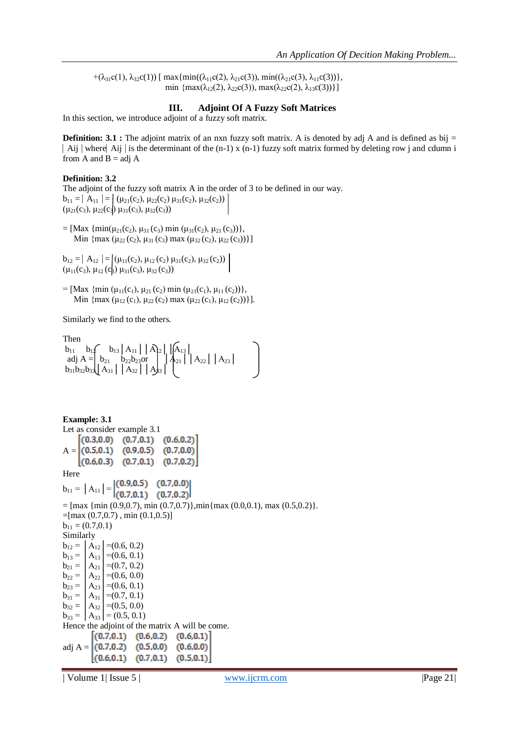+( $\lambda_{31}c(1), \lambda_{32}c(1)$ ) [ max{min(( $\lambda_{11}c(2), \lambda_{21}c(3)$ ), min(( $\lambda_{21}c(3), \lambda_{11}c(3)$ )}, min  $\{\max(\lambda_{12}(2), \lambda_{22}c(3)), \max(\lambda_{22}c(2), \lambda_{13}c(3))\}\}\$ 

## **III. Adjoint Of A Fuzzy Soft Matrices**

In this section, we introduce adjoint of a fuzzy soft matrix.

**Definition: 3.1 :** The adjoint matrix of an nxn fuzzy soft matrix. A is denoted by adj A and is defined as bij =  $\vert$  Aij  $\vert$  where Aij  $\vert$  is the determinant of the (n-1) x (n-1) fuzzy soft matrix formed by deleting row j and cdumn i from A and  $B = adj A$ 

#### **Definition: 3.2**

The adjoint of the fuzzy soft matrix A in the order of 3 to be defined in our way.  $b_{11} = |A_{11}| = |(\mu_{21}(c_2), \mu_{22}(c_2), \mu_{31}(c_2), \mu_{32}(c_2))|$  $(\mu_{21}(c_3), \mu_{22}(c_3), \mu_{31}(c_3), \mu_{32}(c_3))$ 

= [Max  $\{\min(\mu_{21}(c_2), \mu_{31}(c_3) \min(\mu_{31}(c_2), \mu_{21}(c_3))\},\$ Min {max ( $\mu_{22}$  (c<sub>2</sub>),  $\mu_{31}$  (c<sub>3</sub>) max ( $\mu_{32}$  (c<sub>2</sub>),  $\mu_{22}$  (c<sub>3</sub>))}]

 $b_{12} = |A_{12}| = |(\mu_{11}(c_2), \mu_{12}(c_2), \mu_{31}(c_2), \mu_{32}(c_2))|$  $(\mu_{11}(c_3), \mu_{12}(c_3) \mu_{31}(c_3), \mu_{32}(c_3))$ 

= [Max  $\{\min (\mu_{11}(c_1), \mu_{21}(c_2) \min (\mu_{21}(c_1), \mu_{11}(c_2))\},\$ Min {max ( $\mu_{12}(c_1)$ ,  $\mu_{22}(c_2)$  max ( $\mu_{22}(c_1)$ ,  $\mu_{12}(c_2)$ )}].

Similarly we find to the others.

Then  $b_{11}$   $b_{14}$   $b_{13}$   $A_{11}$   $A_{12}$   $A_{13}$ adj A =  $b_{21}$   $b_{22}b_{23}$ or  $|A_{21}|A_{22}|A_{23}|$  $b_{31}b_{32}b_{33}$ │ $A_{31}$ │ $A_{32}$ │ $A_{33}$ │

```
Example: 3.1
Let as consider example 3.1
     (0.3,0.0) (0.7,0.1) (0.6,0.2)A = (0.5, 0.1) (0.9, 0.5) (0.7, 0.0)(0.6, 0.3) (0.7, 0.1)(0.7, 0.2)Here 
b_{11} = |A_{11}| = |(0.9, 0.5) \quad (0.7, 0.0) |(0.7, 0.2)=[\text{max } \{\text{min } (0.9, 0.7), \text{min } (0.7, 0.7)\}, \text{min} \{\text{max } (0.0, 0.1), \text{max } (0.5, 0.2)\}.=[max(0.7, 0.7), min(0.1, 0.5)]b_{11} = (0.7, 0.1)Similarly 
b_{12} = |A_{12}| = (0.6, 0.2)b_{13} = |A_{13}| = (0.6, 0.1)b_{21} = |A_{21}| = (0.7, 0.2)b_{22} = |A_{22}| = (0.6, 0.0)b_{23} = |A_{23}| = (0.6, 0.1)b_{31} = |A_{31}| = (0.7, 0.1)b_{32} = |A_{32}| = (0.5, 0.0)b_{33} = |A_{33}| = (0.5, 0.1)Hence the adjoint of the matrix A will be come.
         (0.7, 0.1) (0.6, 0.2) (0.6, 0.1)adj A = (0.7, 0.2) (0.5, 0.0)(0.6, 0.0)(0.6, 0.1) (0.7, 0.1)(0.5, 0.1)
```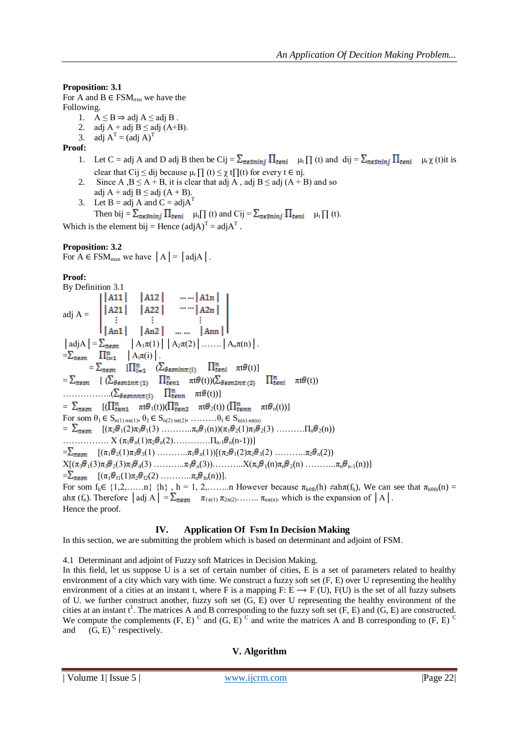**Proposition: 3.1**

For A and  $B \in FSM_{nxn}$  we have the Following.

- 1.  $A \leq B$  ⇒ adj  $A \leq$  adj  $B$ .
- 2. adj A + adj B  $\leq$  adj (A+B).
- 3. adj  $A^T = (adj A)^T$

## **Proof:**

- 1. Let C = adj A and D adj B then be Cij =  $\sum_{\pi \in S} \prod_{i \in n} \mu_i \prod_i$  (t) and dij =  $\sum_{\pi \in S} \prod_{i \in n} \mu_i \chi_i$  (t) it is clear that Cij  $\leq$  dij because  $\mu$ <sub>t</sub>  $\prod$  (t)  $\leq \gamma$  t $\prod$  (t) for every t  $\in$  nj.
- 2. Since A,  $B \le A + B$ , it is clear that adj A, adj  $B \le$  adj  $(A + B)$  and so adj  $A + adj B \leq adj (A + B)$ .
- 3. Let  $B = adj A$  and  $C = adj A<sup>T</sup>$ Then bij  $= \sum_{\pi \in S} \prod_{i \in n} \prod_{i} \mu_i \prod_i$  (t) and Cij  $= \sum_{\pi \in S} \prod_{i \in n} \prod_{i} \mu_i \prod_i$  (t).

Which is the element bij = Hence  $(\text{adj}A)^T = \text{adj}A^T$ .

# **Proposition: 3.2**

For  $A \in \text{FSM}_{\text{max}}$  we have  $|A| = |ad|A|$ .

## **Proof:**

By Definition 3.1 adj A =  $\begin{bmatrix} |A11| & |A12| & \cdots |A1n| \\ |A21| & |A22| & \cdots |A2n| \\ \vdots & \vdots & \vdots \\ |An1| & |An2| & \cdots |Ann| \end{bmatrix}$  $|\operatorname{adj} A| = \sum_{\pi \in \mathfrak{sn}} |\operatorname{A}_{1}\pi(1)| |\operatorname{A}_{2}\pi(2)| \dots |\operatorname{A}_{n}\pi(n)|.$  $=\sum_{\pi \in sn}$   $\prod_{i=1}^{n}$   $A_i \pi(i)$ .  $=\sum_{\pi \in \mathcal{S}^n}$   $[\prod_{i=1}^n \left( \sum_{\theta \in \mathcal{S}^n} \sum_{i=1}^n \prod_{i=1}^n \pi t \theta(t) \right)]$  $=\sum_{\pi \in \mathcal{S}n}$   $[$  ( $\sum_{\theta \in \mathcal{S}n1n\pi (1)}$   $\prod_{t=n1}^{n}$   $\pi t\theta(t)$ )( $\sum_{\theta \in \mathcal{S}n2n\pi (2)}$   $\prod_{t=ni}^{n}$   $\pi t\theta(t)$ )  $\ldots$   $\ldots$   $\left(\sum_{\theta \in \mathfrak{snnn}\pi(i)} \prod_{t \in nn}^{n} \pi(\theta(t))\right]$  $=\sum_{\pi \in sn}$   $[(\prod_{t=n1}^n \pi t \theta_1(t))(\prod_{t=n2}^n \pi t \theta_2(t))(\prod_{t=nn}^n \pi t \theta_n(t))]$ For som  $\theta_1 \in S_{n(1) n\pi(1)}$ ,  $\theta_1 \in S_{n(2) n\pi(2)}$ , ……… $\theta_1 \in S_{n(n) n\pi(n)}$  $=\sum_{\pi\in\mathfrak{S}n}$   $[(\pi_2\theta_1(2)\pi_3\theta_1(3) \ldots \ldots \pi_n\theta_1(n))(\pi_1\theta_2(1)\pi_3\theta_2(3) \ldots \ldots \pi_n\theta_2(n))$ ……………. X (π<sup>1</sup> <sup>n</sup>(1)π<sup>2</sup> <sup>n</sup>(2)………….Πn-1 <sup>n</sup>(n-1))]  $=\sum_{\pi \in \mathcal{S}} \left[ (\pi_1 \theta_2(1) \pi_1 \theta_3(1) \ldots \pi_1 \theta_n(1)) [(\pi_2 \theta_1(2) \pi_2 \theta_3(2) \ldots \pi_2 \theta_n(2)) \right]$  $X[(\pi_3 \theta_1(3)\pi_3 \theta_2(3)\pi_3 \theta_4(3) \dots \dots \pi_3 \theta_n(3)) \dots \dots \dots X(\pi_n \theta_1(n)\pi_n \theta_2(n) \dots \dots \pi_n \theta_{n-1}(n))]$  $=\sum_{\pi\in\mathbb{S}^n}$   $[(\pi_1\theta_{\rm fl}(1)\pi_2\theta_{\rm fl}(2) \dots \dots \pi_n\theta_{\rm fn}(n))].$ For som  $f_h \in \{1,2,\ldots,n\}$   $\{h\}$ ,  $h = 1, 2,\ldots,n$  However because  $\pi_{h\theta f h}(h) \neq ah \pi(f_h)$ , We can see that  $\pi_{h\theta f h}(n) =$ ah $\pi$  (f<sub>n</sub>). Therefore  $|$  adj A $| = \sum_{\pi \in \mathcal{S}} \pi_{1\pi(1)} \pi_{2\pi(2)}, \dots \pi_{n\pi(n)}$ , which is the expansion of  $|A|$ . Hence the proof.

## **IV. Application Of Fsm In Decision Making**

In this section, we are submitting the problem which is based on determinant and adjoint of FSM.

4.1 Determinant and adjoint of Fuzzy soft Matrices in Decision Making.

In this field, let us suppose U is a set of certain number of cities, E is a set of parameters related to healthy environment of a city which vary with time. We construct a fuzzy soft set (F, E) over U representing the healthy environment of a cities at an instant t, where F is a mapping F:  $E \rightarrow F(U)$ ,  $F(U)$  is the set of all fuzzy subsets of U. we further construct another, fuzzy soft set (G, E) over U representing the healthy environment of the cities at an instant  $t^1$ . The matrices A and B corresponding to the fuzzy soft set  $(F, E)$  and  $(G, E)$  are constructed. We compute the complements  $(F, E)$ <sup>C</sup> and  $(G, E)$ <sup>C</sup> and write the matrices A and B corresponding to  $(F, E)$ <sup>C</sup> and  $(G, E)$ <sup>C</sup> respectively.

# **V. Algorithm**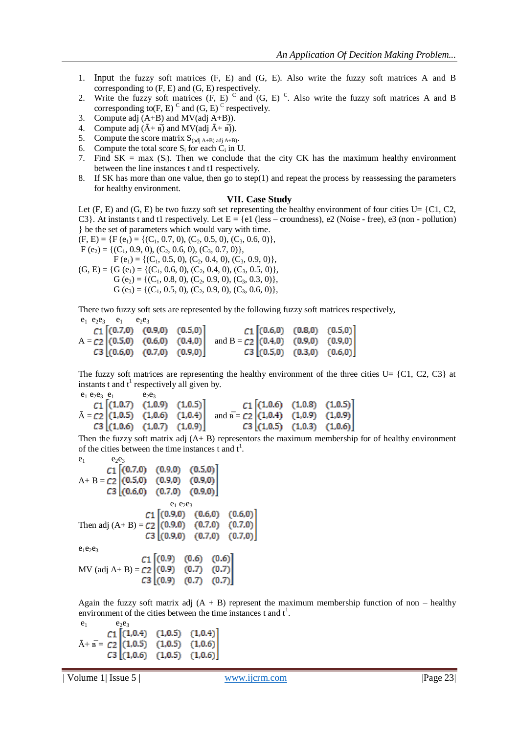- 1. Input the fuzzy soft matrices (F, E) and (G, E). Also write the fuzzy soft matrices A and B corresponding to (F, E) and (G, E) respectively.
- 2. Write the fuzzy soft matrices  $(F, E)^C$  and  $(G, E)^C$ . Also write the fuzzy soft matrices A and B corresponding to  $(F, E)$ <sup>C</sup> and  $(G, E)$ <sup>C</sup> respectively.
- 3. Compute adj (A+B) and MV(adj A+B)).
- 4. Compute adj  $(\bar{A} + \bar{B})$  and MV(adj  $\bar{A} + \bar{B}$ ).
- 5. Compute the score matrix  $S_{(adj A+B) \text{adj } A+B}$ .
- 6. Compute the total score  $S_i$  for each  $C_i$  in U.
- 7. Find  $SK = \max(S_i)$ . Then we conclude that the city CK has the maximum healthy environment between the line instances t and t1 respectively.
- 8. If SK has more than one value, then go to step(1) and repeat the process by reassessing the parameters for healthy environment.

#### **VII. Case Study**

Let  $(F, E)$  and  $(G, E)$  be two fuzzy soft set representing the healthy environment of four cities U= {C1, C2, C3}. At instants t and t1 respectively. Let  $E = \{e1$  (less – croundness), e2 (Noise - free), e3 (non - pollution) } be the set of parameters which would vary with time.

 $(F, E) = \{F(e_1) = \{(C_1, 0.7, 0), (C_2, 0.5, 0), (C_3, 0.6, 0)\},\}$ 

 $F (e_2) = \{ (C_1, 0.9, 0), (C_2, 0.6, 0), (C_3, 0.7, 0) \},$ 

 $F (e_1) = \{ (C_1, 0.5, 0), (C_2, 0.4, 0), (C_3, 0.9, 0) \},$  $(G, E) = \{G (e_1) = \{(C_1, 0.6, 0), (C_2, 0.4, 0), (C_3, 0.5, 0)\},\}$  $G (e_2) = \{ (C_1, 0.8, 0), (C_2, 0.9, 0), (C_3, 0.3, 0) \},$  $G (e_3) = \{ (C_1, 0.5, 0), (C_2, 0.9, 0), (C_3, 0.6, 0) \},$ 

There two fuzzy soft sets are represented by the following fuzzy soft matrices respectively,  $e_1$   $e_2e_3$   $e_1$   $e_2e_3$ 

|  | $C1$ $[(0.7,0)$ $(0.9,0)$ $(0.5,0)]$ |                                                                       | $C1$ $[(0.6,0)$ $(0.8,0)$ $(0.5,0)]$ |  |
|--|--------------------------------------|-----------------------------------------------------------------------|--------------------------------------|--|
|  |                                      | $A = C2$ (0.5,0) (0.6,0) (0.4,0) and $B = C2$ (0.4,0) (0.9,0) (0.9,0) |                                      |  |
|  | C3 [(0.6,0) (0.7,0) (0.9,0)]         |                                                                       | C3 [(0.5,0) (0.3,0) (0.6,0)]         |  |

The fuzzy soft matrices are representing the healthy environment of the three cities  $U = \{C1, C2, C3\}$  at instants t and  $t^1$  respectively all given by.

 $e_1 e_2 e_3 e_1$   $e_2 e_3$  $\bar{A} = C2$  (1,0.5) (1,0.6) (1,0.5) (1,0.6) (1,0.6) (1,0.6) (1,0.6) (1,0.6) (1,0.6) (1,0.7) (1,0.9) and  $\bar{B} = C2$  (1,0.4) (1,0.9) (1,0.9) (3 (1,0.6) (1,0.7) (1,0.9) (3 (1,0.5) (1,0.6) (1,0.6)  $C1$   $[(1,0.7) (1,0.9)$  $(1,0.5)$  $C3 | (1,0.6) (1,0.7) (1,0.9)$ 

Then the fuzzy soft matrix adj (A+ B) representors the maximum membership for of healthy environment of the cities between the time instances t and  $t^1$ .

e1 e2e<sup>3</sup> A+ B = e<sup>1</sup> e2e<sup>3</sup> Then adj (A+ B) = e1e2e<sup>3</sup> MV (adj A+ B) = 

Again the fuzzy soft matrix adj  $(A + B)$  represent the maximum membership function of non – healthy environment of the cities between the time instances t and  $t<sup>1</sup>$ .

 $e_1$   $e_2e_3$  $C1$   $(1,0.4)$  $(1,0.5)$  $(1.0.4)$  $\bar{A}$ +  $\bar{B}$  =  $C2$  (1,0.5) (1,0.5) (1,0.6)  $C3$   $(1,0.6)$  $(1,0.5)$  $(1.0.6)$